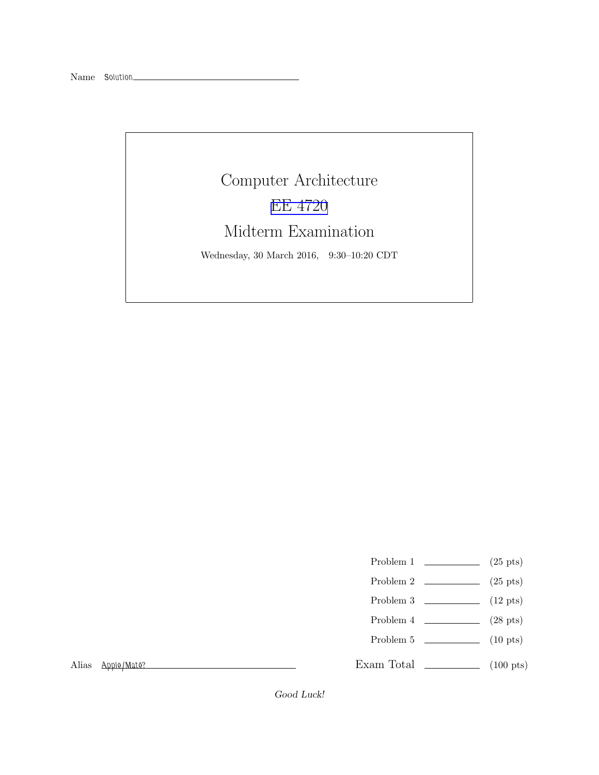# Computer Architecture [EE 4720](https://www.ece.lsu.edu/ee4720/) Midterm Examination Wednesday, 30 March 2016, 9:30–10:20 CDT

- Problem 1  $\qquad \qquad$  (25 pts)
- Problem 2  $\qquad \qquad$  (25 pts)
- Problem 3  $\qquad \qquad$  (12 pts)
- Problem 4  $\qquad \qquad$  (28 pts)
- Problem 5 (10 pts)

Exam Total (100 pts)

Alias Apple/Maté?

Good Luck!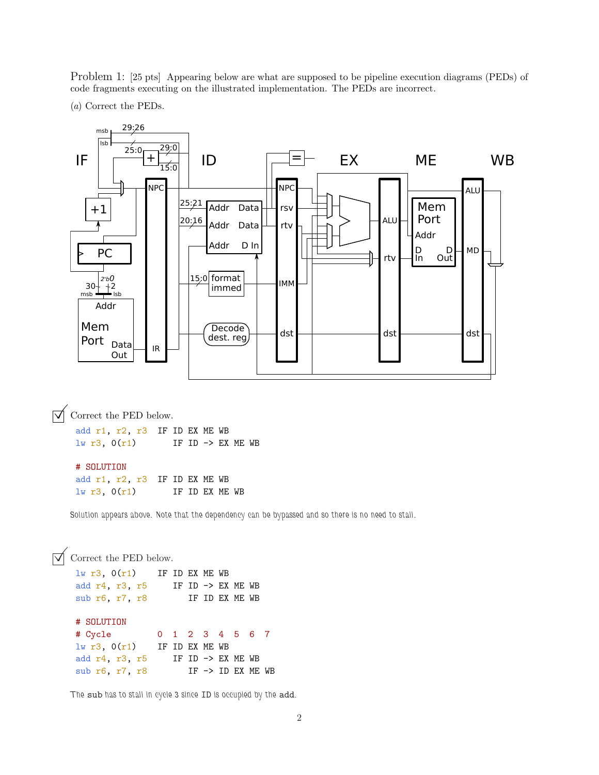Problem 1: [25 pts] Appearing below are what are supposed to be pipeline execution diagrams (PEDs) of code fragments executing on the illustrated implementation. The PEDs are incorrect.

(a) Correct the PEDs.



 $\sqrt{\phantom{a}}$  Correct the PED below.

add r1, r2, r3 IF ID EX ME WB  $lw$  r3,  $0(r1)$  IF ID -> EX ME WB

# SOLUTION

add r1, r2, r3 IF ID EX ME WB  $lw$  r3,  $O(r1)$  IF ID EX ME WB

Solution appears above. Note that the dependency can be bypassed and so there is no need to stall.

```
\vert \overrightarrow{\bigtriangledown} \vert Correct the PED below.
     \frac{1}{w} r<sub>3</sub>, 0(r_1) IF ID EX ME WB
     add r4, r3, r5 IF ID \rightarrow EX ME WB
     sub r6, r7, r8 IF ID EX ME WB
     # SOLUTION
     # Cycle 0 1 2 3 4 5 6 7
    lw r3, O(r1) IF ID EX ME WB
    add r4, r3, r5 IF ID \rightarrow EX ME WB
     sub r6, r7, r8 IF -> ID EX ME WB
```
The sub has to stall in cycle 3 since ID is occupied by the add.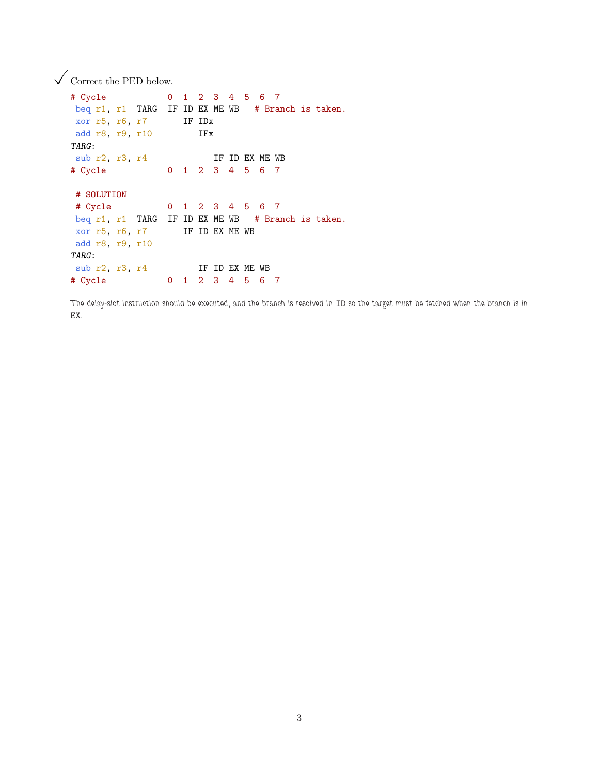$\sqrt{\phantom{a}}$  Correct the PED below.

```
# Cycle 0 1 2 3 4 5 6 7
beq r1, r1 TARG IF ID EX ME WB # Branch is taken.
xor r5, r6, r7 IF IDx
add r8, r9, r10 IFx
TARG:
 sub r2, r3, r4 IF ID EX ME WB
# Cycle 0 1 2 3 4 5 6 7
# SOLUTION
# Cycle 0 1 2 3 4 5 6 7
beq r1, r1 TARG IF ID EX ME WB # Branch is taken.
xor r5, r6, r7 IF ID EX ME WB
add r8, r9, r10
TARG:
sub r2, r3, r4 IF ID EX ME WB
# Cycle 0 1 2 3 4 5 6 7
```
The delay-slot instruction should be executed, and the branch is resolved in ID so the target must be fetched when the branch is in EX.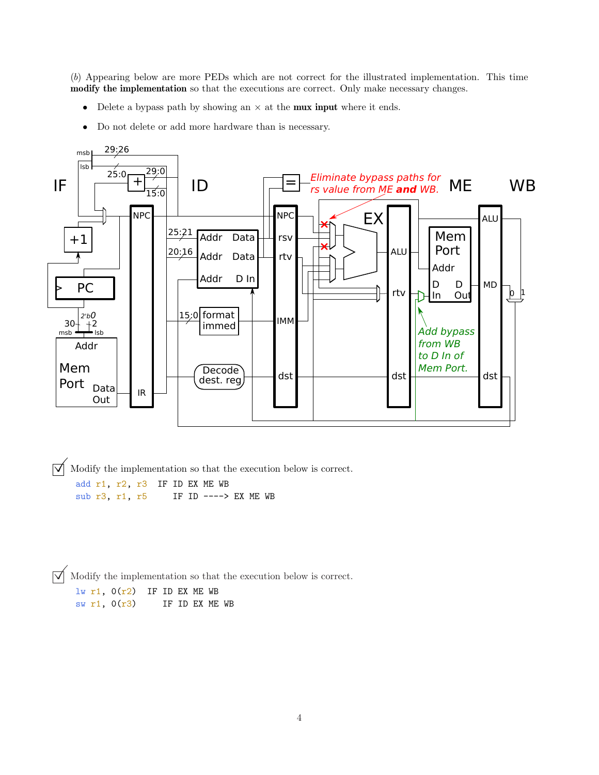(b) Appearing below are more PEDs which are not correct for the illustrated implementation. This time modify the implementation so that the executions are correct. Only make necessary changes.

- Delete a bypass path by showing an  $\times$  at the **mux input** where it ends.
- Do not delete or add more hardware than is necessary.



 $\triangledown$  Modify the implementation so that the execution below is correct.

add r1, r2, r3 IF ID EX ME WB sub  $r3$ ,  $r1$ ,  $r5$  IF ID ----> EX ME WB

 $\triangledown$  Modify the implementation so that the execution below is correct.

 $\frac{1}{w}$  r1,  $0(r2)$  IF ID EX ME WB sw r1,  $0(r3)$  IF ID EX ME WB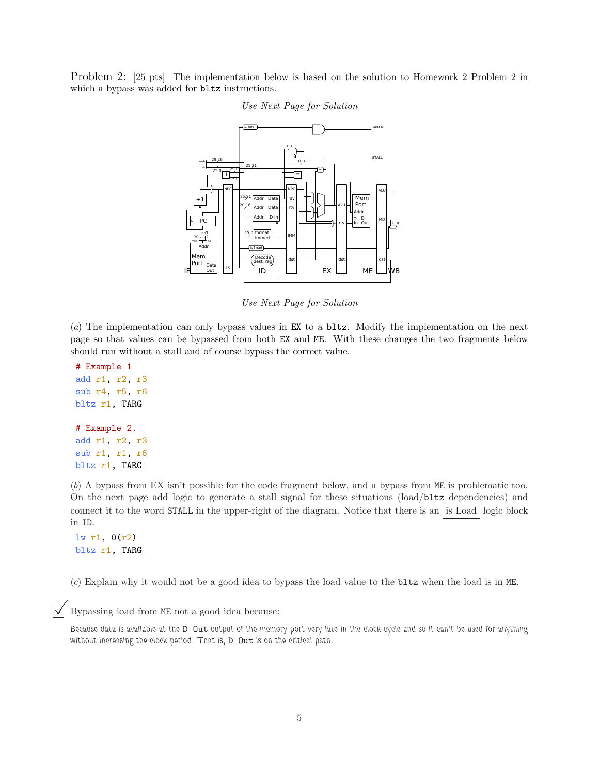Problem 2: [25 pts] The implementation below is based on the solution to Homework 2 Problem 2 in which a bypass was added for  $bltz$  instructions.



#### Use Next Page for Solution

Use Next Page for Solution

(a) The implementation can only bypass values in EX to a bltz. Modify the implementation on the next page so that values can be bypassed from both EX and ME. With these changes the two fragments below should run without a stall and of course bypass the correct value.

```
# Example 1
add r1, r2, r3
sub r4, r5, r6
bltz r1, TARG
# Example 2.
add r1, r2, r3
sub r1, r1, r6
bltz r1, TARG
```
(b) A bypass from EX isn't possible for the code fragment below, and a bypass from ME is problematic too. On the next page add logic to generate a stall signal for these situations (load/bltz dependencies) and connect it to the word STALL in the upper-right of the diagram. Notice that there is an is Load logic block in ID.

```
lw r1, 0(r2)
bltz r1, TARG
```
(c) Explain why it would not be a good idea to bypass the load value to the bltz when the load is in ME.

Bypassing load from ME not a good idea because:

Because data is available at the D Out output of the memory port very late in the clock cycle and so it can't be used for anything without increasing the clock period. That is, D Out is on the critical path.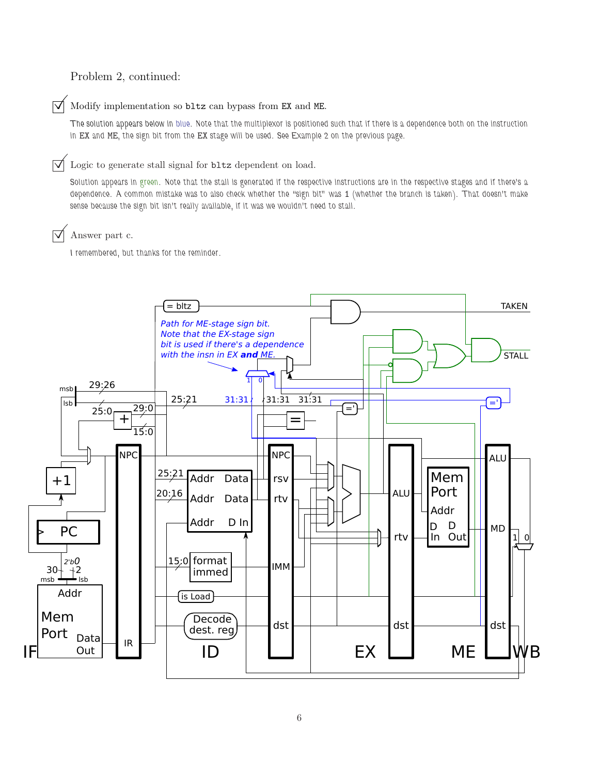# Problem 2, continued:

# $\overrightarrow{V}$  Modify implementation so bltz can bypass from EX and ME.

The solution appears below in blue. Note that the multiplexor is positioned such that if there is a dependence both on the instruction in EX and ME, the sign bit from the EX stage will be used. See Example 2 on the previous page.

### $\triangledown$  Logic to generate stall signal for bltz dependent on load.

Solution appears in green. Note that the stall is generated if the respective instructions are in the respective stages and if there's a dependence. A common mistake was to also check whether the "sign bit" was 1 (whether the branch is taken). That doesn't make sense because the sign bit isn't really available, if it was we wouldn't need to stall.

## $\triangledown$  Answer part c.

I remembered, but thanks for the reminder.

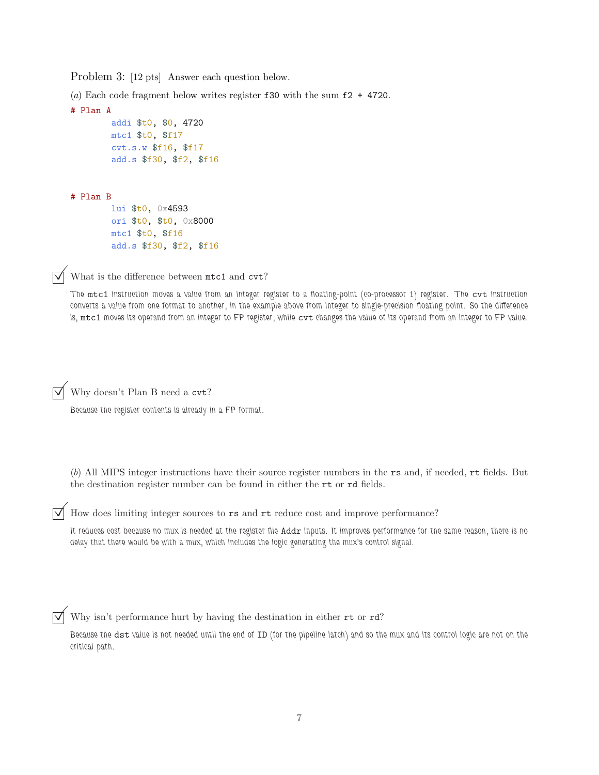Problem 3: [12 pts] Answer each question below.

(a) Each code fragment below writes register  $f30$  with the sum  $f2 + 4720$ .

```
# Plan A
        addi $t0, $0, 4720
        mtc1 $t0, $f17
        cvt.s.w $f16, $f17
        add.s $f30, $f2, $f16
```
# Plan B

lui \$t0, 0x4593 ori \$t0, \$t0, 0x8000 mtc1 \$t0, \$f16 add.s \$f30, \$f2, \$f16

What is the difference between  $m \texttt{tcl}$  and  $\texttt{cvt}$ ?

The mtc1 instruction moves a value from an integer register to a floating-point (co-processor 1) register. The cvt instruction converts a value from one format to another, in the example above from integer to single-precision floating point. So the difference is, mtc1 moves its operand from an integer to FP register, while cvt changes the value of its operand from an integer to FP value.

 $\triangledown$  Why doesn't Plan B need a cvt?

Because the register contents is already in a FP format.

(b) All MIPS integer instructions have their source register numbers in the rs and, if needed, rt fields. But the destination register number can be found in either the rt or rd fields.

How does limiting integer sources to rs and rt reduce cost and improve performance?

It reduces cost because no mux is needed at the register file Addr inputs. It improves performance for the same reason, there is no delay that there would be with a mux, which includes the logic generating the mux's control signal.

 $\triangledown$  Why isn't performance hurt by having the destination in either rt or rd?

Because the dst value is not needed until the end of ID (for the pipeline latch) and so the mux and its control logic are not on the critical path.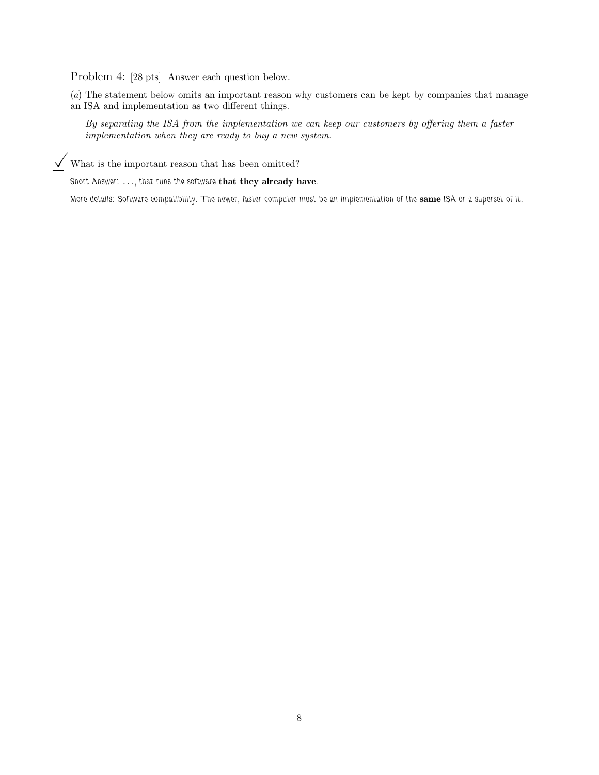Problem 4: [28 pts] Answer each question below.

(a) The statement below omits an important reason why customers can be kept by companies that manage an ISA and implementation as two different things.

By separating the ISA from the implementation we can keep our customers by offering them a faster implementation when they are ready to buy a new system.

 $\overrightarrow{\mathsf{W}}$  What is the important reason that has been omitted?

Short Answer: ..., that runs the software that they already have.

More details: Software compatibility. The newer, faster computer must be an implementation of the same ISA or a superset of it.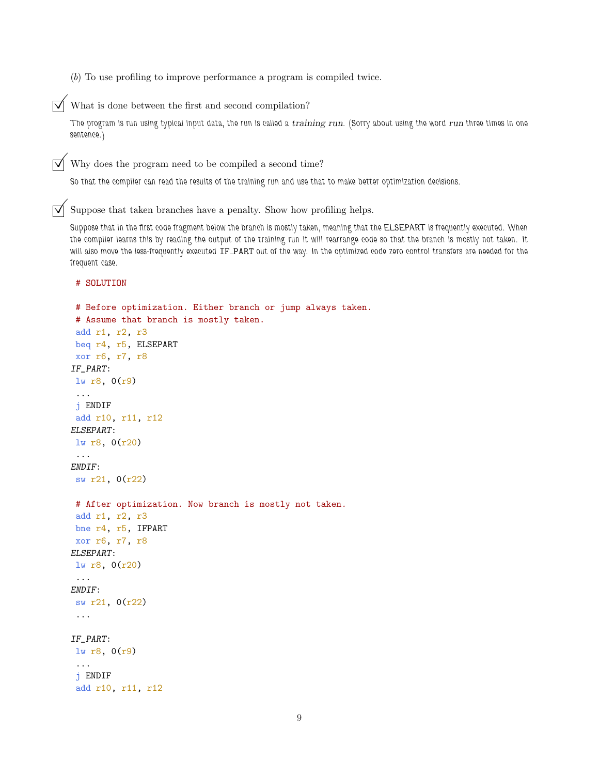(b) To use profiling to improve performance a program is compiled twice.

 $\triangledown$  What is done between the first and second compilation?

The program is run using typical input data, the run is called a *training run*. (Sorry about using the word *run* three times in one sentence.)

 $\triangledown$  Why does the program need to be compiled a second time?

So that the compiler can read the results of the training run and use that to make better optimization decisions.

 $\overrightarrow{\mathsf{q}}$  Suppose that taken branches have a penalty. Show how profiling helps.

Suppose that in the first code fragment below the branch is mostly taken, meaning that the ELSEPART is frequently executed. When the compiler learns this by reading the output of the training run it will rearrange code so that the branch is mostly not taken. It will also move the less-frequently executed IF\_PART out of the way. In the optimized code zero control transfers are needed for the frequent case.

#### # SOLUTION

```
# Before optimization. Either branch or jump always taken.
# Assume that branch is mostly taken.
add r1, r2, r3
beq r4, r5, ELSEPART
xor r6, r7, r8
IF_PART:
lw r8, 0(r9)
 ...
j ENDIF
add r10, r11, r12
ELSEPART:
lw r8, 0(r20)
 ...
ENDIF:
sw r21, 0(r22)
# After optimization. Now branch is mostly not taken.
add r1, r2, r3
bne r4, r5, IFPART
xor r6, r7, r8
ELSEPART:
lw r8, 0(r20)
 ...
ENDIF:
sw r21, 0(r22)
 ...
IF_PART:
lw r8, 0(r9)
...
 j ENDIF
add r10, r11, r12
```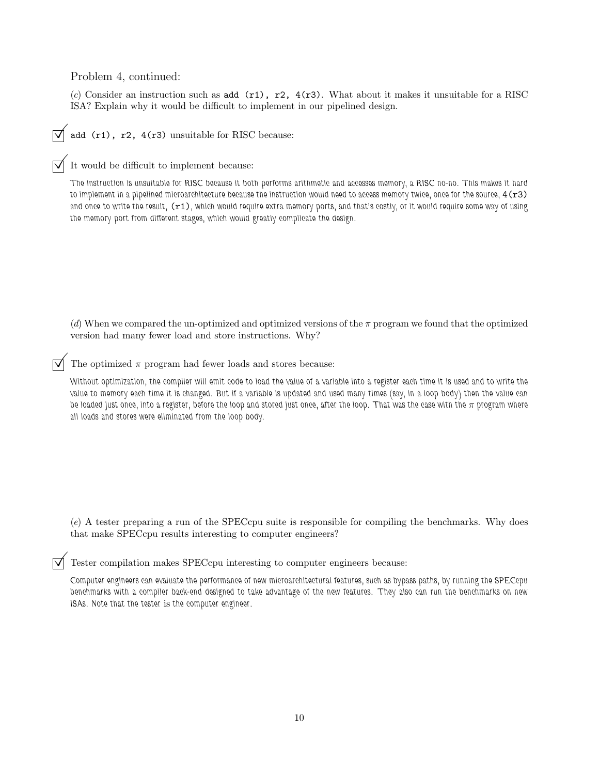Problem 4, continued:

(c) Consider an instruction such as add  $(r1)$ ,  $r2$ ,  $4(r3)$ . What about it makes it unsuitable for a RISC ISA? Explain why it would be difficult to implement in our pipelined design.

add (r1), r2, 4(r3) unsuitable for RISC because:

 $\triangledown$  It would be difficult to implement because:

The instruction is unsuitable for RISC because it both performs arithmetic and accesses memory, a RISC no-no. This makes it hard to implement in a pipelined microarchitecture because the instruction would need to access memory twice, once for the source,  $4(r3)$ and once to write the result,  $(r1)$ , which would require extra memory ports, and that's costly, or it would require some way of using the memory port from different stages, which would greatly complicate the design.

(d) When we compared the un-optimized and optimized versions of the  $\pi$  program we found that the optimized version had many fewer load and store instructions. Why?

The optimized  $\pi$  program had fewer loads and stores because:

Without optimization, the compiler will emit code to load the value of a variable into a register each time it is used and to write the value to memory each time it is changed. But if a variable is updated and used many times (say, in a loop body) then the value can be loaded just once, into a register, before the loop and stored just once, after the loop. That was the case with the  $\pi$  program where all loads and stores were eliminated from the loop body.

(e) A tester preparing a run of the SPECcpu suite is responsible for compiling the benchmarks. Why does that make SPECcpu results interesting to computer engineers?

Tester compilation makes SPECcpu interesting to computer engineers because:

Computer engineers can evaluate the performance of new microarchitectural features, such as bypass paths, by running the SPECcpu benchmarks with a compiler back-end designed to take advantage of the new features. They also can run the benchmarks on new ISAs. Note that the tester is the computer engineer.